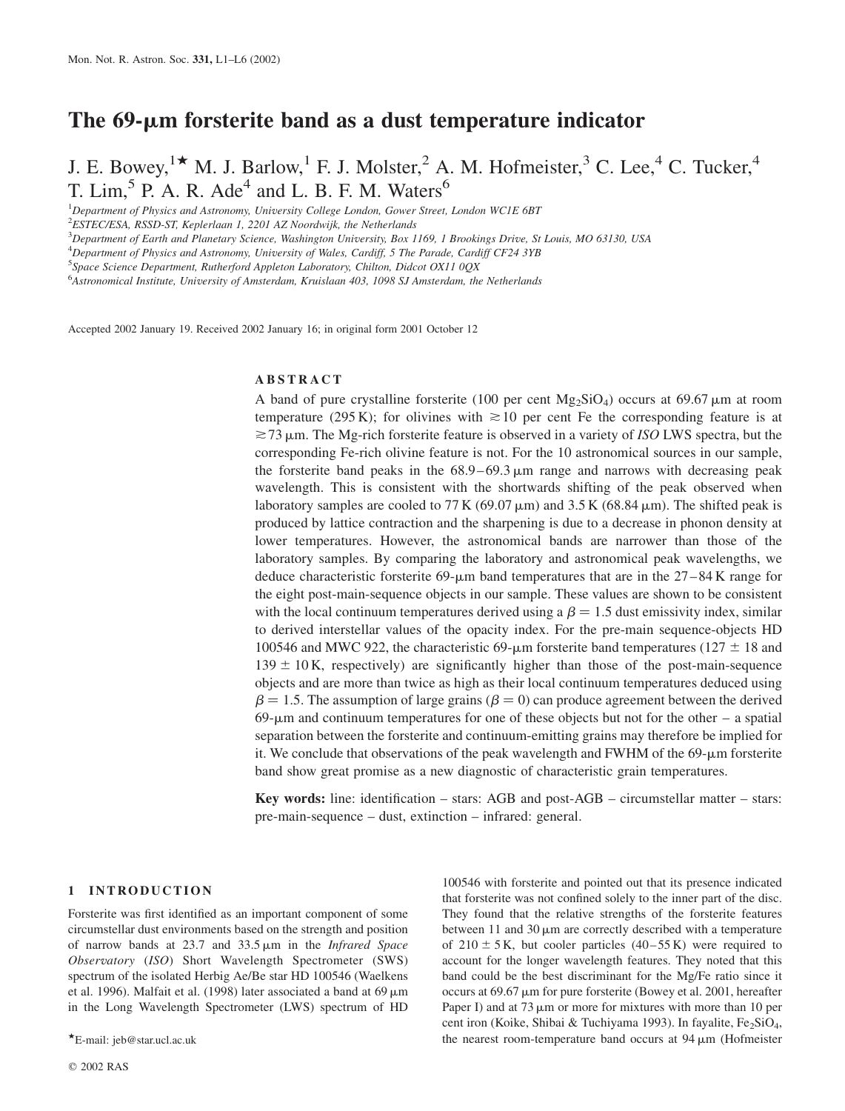# The  $69$ - $\mu$ m forsterite band as a dust temperature indicator

J. E. Bowey,<sup>1\*</sup> M. J. Barlow,<sup>1</sup> F. J. Molster,<sup>2</sup> A. M. Hofmeister,<sup>3</sup> C. Lee,<sup>4</sup> C. Tucker,<sup>4</sup> T. Lim,<sup>5</sup> P. A. R. Ade<sup>4</sup> and L. B. F. M. Waters<sup>6</sup>

<sup>1</sup>Department of Physics and Astronomy, University College London, Gower Street, London WC1E 6BT

<sup>2</sup>ESTEC/ESA, RSSD-ST, Keplerlaan 1, 2201 AZ Noordwijk, the Netherlands

3 Department of Earth and Planetary Science, Washington University, Box 1169, 1 Brookings Drive, St Louis, MO 63130, USA

<sup>4</sup>Department of Physics and Astronomy, University of Wales, Cardiff, 5 The Parade, Cardiff CF24 3YB

<sup>5</sup>Space Science Department, Rutherford Appleton Laboratory, Chilton, Didcot OX11 0QX

<sup>6</sup> Astronomical Institute, University of Amsterdam, Kruislaan 403, 1098 SJ Amsterdam, the Netherlands

Accepted 2002 January 19. Received 2002 January 16; in original form 2001 October 12

#### ABSTRACT

A band of pure crystalline forsterite (100 per cent  $Mg_2SiO_4$ ) occurs at 69.67  $\mu$ m at room temperature (295 K); for olivines with  $\approx$  10 per cent Fe the corresponding feature is at  $\approx$ 73  $\mu$ m. The Mg-rich forsterite feature is observed in a variety of ISO LWS spectra, but the corresponding Fe-rich olivine feature is not. For the 10 astronomical sources in our sample, the forsterite band peaks in the  $68.9-69.3 \,\mu m$  range and narrows with decreasing peak wavelength. This is consistent with the shortwards shifting of the peak observed when laboratory samples are cooled to  $77$  K (69.07  $\mu$ m) and 3.5 K (68.84  $\mu$ m). The shifted peak is produced by lattice contraction and the sharpening is due to a decrease in phonon density at lower temperatures. However, the astronomical bands are narrower than those of the laboratory samples. By comparing the laboratory and astronomical peak wavelengths, we deduce characteristic forsterite  $69\text{-}\mu\text{m}$  band temperatures that are in the  $27\text{-}84\text{ K}$  range for the eight post-main-sequence objects in our sample. These values are shown to be consistent with the local continuum temperatures derived using a  $\beta = 1.5$  dust emissivity index, similar to derived interstellar values of the opacity index. For the pre-main sequence-objects HD 100546 and MWC 922, the characteristic 69- $\mu$ m forsterite band temperatures (127  $\pm$  18 and  $139 \pm 10$  K, respectively) are significantly higher than those of the post-main-sequence objects and are more than twice as high as their local continuum temperatures deduced using  $\beta = 1.5$ . The assumption of large grains ( $\beta = 0$ ) can produce agreement between the derived  $69-\mu m$  and continuum temperatures for one of these objects but not for the other – a spatial separation between the forsterite and continuum-emitting grains may therefore be implied for it. We conclude that observations of the peak wavelength and FWHM of the  $69-\mu m$  forsterite band show great promise as a new diagnostic of characteristic grain temperatures.

Key words: line: identification – stars: AGB and post-AGB – circumstellar matter – stars: pre-main-sequence – dust, extinction – infrared: general.

#### 1 INTRODUCTION

Forsterite was first identified as an important component of some circumstellar dust environments based on the strength and position of narrow bands at  $23.7$  and  $33.5 \,\mu m$  in the *Infrared Space* Observatory (ISO) Short Wavelength Spectrometer (SWS) spectrum of the isolated Herbig Ae/Be star HD 100546 (Waelkens et al. 1996). Malfait et al. (1998) later associated a band at 69  $\mu$ m in the Long Wavelength Spectrometer (LWS) spectrum of HD

100546 with forsterite and pointed out that its presence indicated that forsterite was not confined solely to the inner part of the disc. They found that the relative strengths of the forsterite features between 11 and 30  $\mu$ m are correctly described with a temperature of  $210 \pm 5$  K, but cooler particles  $(40-55 \text{ K})$  were required to account for the longer wavelength features. They noted that this band could be the best discriminant for the Mg/Fe ratio since it occurs at  $69.67 \mu m$  for pure forsterite (Bowey et al. 2001, hereafter Paper I) and at  $73 \mu m$  or more for mixtures with more than 10 per cent iron (Koike, Shibai & Tuchiyama 1993). In fayalite, Fe<sub>2</sub>SiO<sub>4</sub>,  $\star$ E-mail: jeb@star.ucl.ac.uk the nearest room-temperature band occurs at 94  $\mu$ m (Hofmeister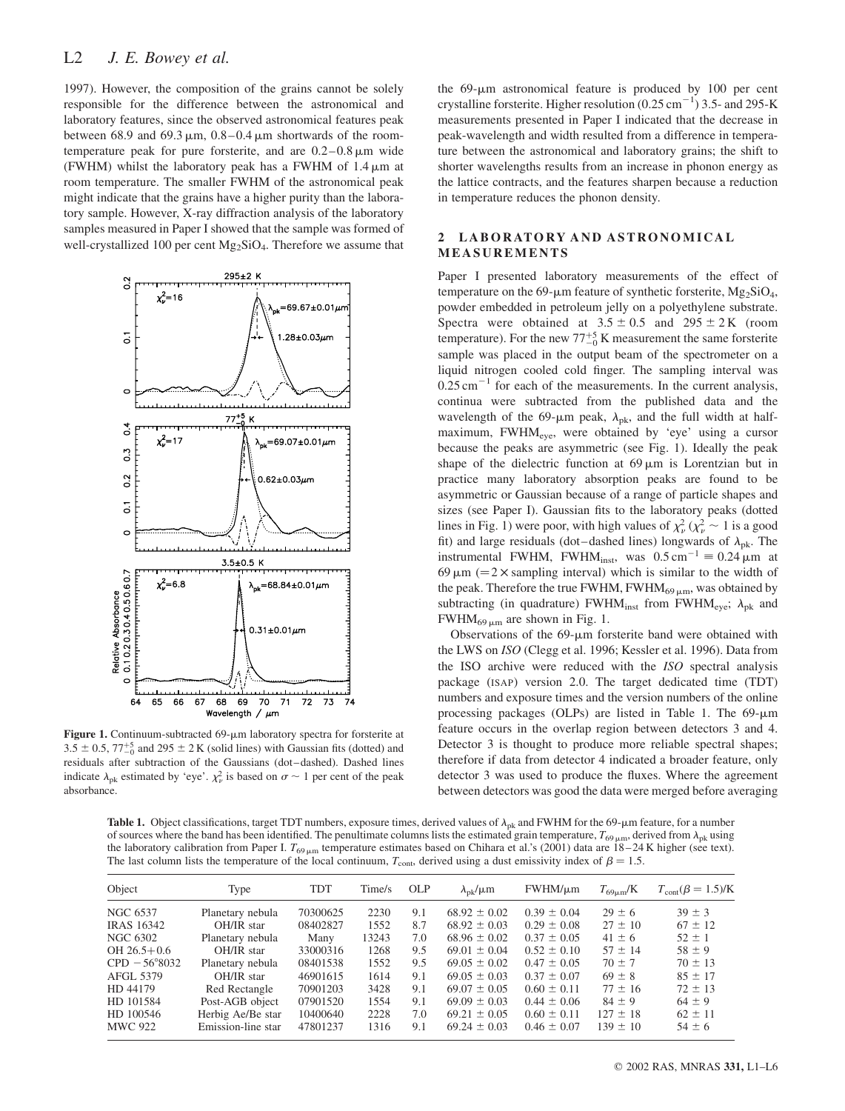# L<sub>2</sub> J. E. Bowey et al.

1997). However, the composition of the grains cannot be solely responsible for the difference between the astronomical and laboratory features, since the observed astronomical features peak between 68.9 and 69.3  $\mu$ m, 0.8–0.4  $\mu$ m shortwards of the roomtemperature peak for pure forsterite, and are  $0.2-0.8 \,\mu m$  wide (FWHM) whilst the laboratory peak has a FWHM of  $1.4 \mu m$  at room temperature. The smaller FWHM of the astronomical peak might indicate that the grains have a higher purity than the laboratory sample. However, X-ray diffraction analysis of the laboratory samples measured in Paper I showed that the sample was formed of well-crystallized 100 per cent  $Mg_2SiO<sub>4</sub>$ . Therefore we assume that



Figure 1. Continuum-subtracted 69-µm laboratory spectra for forsterite at  $3.5 \pm 0.5$ ,  $77^{+5}_{-0}$  and  $295 \pm 2$  K (solid lines) with Gaussian fits (dotted) and residuals after subtraction of the Gaussians (dot–dashed). Dashed lines indicate  $\lambda_{\rm pk}$  estimated by 'eye'.  $\chi^2_{\nu}$  is based on  $\sigma \sim 1$  per cent of the peak absorbance.

the  $69-\mu m$  astronomical feature is produced by 100 per cent crystalline forsterite. Higher resolution  $(0.25 \text{ cm}^{-1})$  3.5- and 295-K measurements presented in Paper I indicated that the decrease in peak-wavelength and width resulted from a difference in temperature between the astronomical and laboratory grains; the shift to shorter wavelengths results from an increase in phonon energy as the lattice contracts, and the features sharpen because a reduction in temperature reduces the phonon density.

#### 2 LABORATORY AND ASTRONOMICAL MEASUREMENTS

Paper I presented laboratory measurements of the effect of temperature on the 69- $\mu$ m feature of synthetic forsterite, Mg<sub>2</sub>SiO<sub>4</sub>, powder embedded in petroleum jelly on a polyethylene substrate. Spectra were obtained at  $3.5 \pm 0.5$  and  $295 \pm 2$  K (room temperature). For the new  $77^{+5}_{-0}$  K measurement the same forsterite sample was placed in the output beam of the spectrometer on a liquid nitrogen cooled cold finger. The sampling interval was  $0.25$  cm<sup>-1</sup> for each of the measurements. In the current analysis, continua were subtracted from the published data and the wavelength of the 69- $\mu$ m peak,  $\lambda_{\rm pk}$ , and the full width at halfmaximum, FWHM<sub>eye</sub>, were obtained by 'eye' using a cursor because the peaks are asymmetric (see Fig. 1). Ideally the peak shape of the dielectric function at  $69 \,\mu m$  is Lorentzian but in practice many laboratory absorption peaks are found to be asymmetric or Gaussian because of a range of particle shapes and sizes (see Paper I). Gaussian fits to the laboratory peaks (dotted lines in Fig. 1) were poor, with high values of  $\chi^2_{\nu}$  ( $\chi^2_{\nu} \sim 1$  is a good fit) and large residuals (dot–dashed lines) longwards of  $\lambda_{\rm pk}$ . The instrumental FWHM, FWHM<sub>inst</sub>, was  $0.5 \text{ cm}^{-1} \equiv 0.24 \text{ }\mu\text{m}$  at 69  $\mu$ m (= 2  $\times$  sampling interval) which is similar to the width of the peak. Therefore the true FWHM, FWHM $_{69 \mu m}$ , was obtained by subtracting (in quadrature) FWHM<sub>inst</sub> from FWHM<sub>eye</sub>;  $\lambda_{pk}$  and  $FWHM_{69 \mu m}$  are shown in Fig. 1.

Observations of the  $69-\mu m$  forsterite band were obtained with the LWS on ISO (Clegg et al. 1996; Kessler et al. 1996). Data from the ISO archive were reduced with the ISO spectral analysis package (ISAP) version 2.0. The target dedicated time (TDT) numbers and exposure times and the version numbers of the online processing packages (OLPs) are listed in Table 1. The  $69-\mu m$ feature occurs in the overlap region between detectors 3 and 4. Detector 3 is thought to produce more reliable spectral shapes; therefore if data from detector 4 indicated a broader feature, only detector 3 was used to produce the fluxes. Where the agreement between detectors was good the data were merged before averaging

Table 1. Object classifications, target TDT numbers, exposure times, derived values of  $\lambda_{pk}$  and FWHM for the 69-µm feature, for a number of sources where the band has been identified. The penultimate columns lists the estimated grain temperature,  $T_{69 \mu m}$ , derived from  $\lambda_{pk}$  using the laboratory calibration from Paper I.  $T_{69\,\mu m}$  temperature estimates based on Chihara et al.'s (2001) data are 18–24 K higher (see text). The last column lists the temperature of the local continuum,  $T_{\text{cont}}$ , derived using a dust emissivity index of  $\beta = 1.5$ .

| Object            | Type               | <b>TDT</b> | Time/s | <b>OLP</b> | $\lambda_{\rm pk}/\mu$ m | $FWHM/\mu m$    | $T_{69\mu m}$ /K | $T_{\text{cont}}(\beta = 1.5)$ /K |
|-------------------|--------------------|------------|--------|------------|--------------------------|-----------------|------------------|-----------------------------------|
| NGC 6537          | Planetary nebula   | 70300625   | 2230   | 9.1        | $68.92 \pm 0.02$         | $0.39 \pm 0.04$ | $29 \pm 6$       | $39 \pm 3$                        |
| <b>IRAS 16342</b> | OH/IR star         | 08402827   | 1552   | 8.7        | $68.92 \pm 0.03$         | $0.29 \pm 0.08$ | $27 \pm 10$      | $67 \pm 12$                       |
| NGC 6302          | Planetary nebula   | Many       | 13243  | 7.0        | $68.96 \pm 0.02$         | $0.37 \pm 0.05$ | $41 \pm 6$       | $52 \pm 1$                        |
| $OH 26.5 + 0.6$   | OH/IR star         | 33000316   | 1268   | 9.5        | $69.01 \pm 0.04$         | $0.52 \pm 0.10$ | $57 \pm 14$      | $58 \pm 9$                        |
| $CPD - 56°8032$   | Planetary nebula   | 08401538   | 1552   | 9.5        | $69.05 \pm 0.02$         | $0.47 \pm 0.05$ | $70 \pm 7$       | $70 \pm 13$                       |
| AFGL 5379         | OH/IR star         | 46901615   | 1614   | 9.1        | $69.05 \pm 0.03$         | $0.37 \pm 0.07$ | $69 \pm 8$       | $85 \pm 17$                       |
| HD 44179          | Red Rectangle      | 70901203   | 3428   | 9.1        | $69.07 \pm 0.05$         | $0.60 \pm 0.11$ | $77 \pm 16$      | $72 \pm 13$                       |
| HD 101584         | Post-AGB object    | 07901520   | 1554   | 9.1        | $69.09 \pm 0.03$         | $0.44 \pm 0.06$ | $84 \pm 9$       | $64 \pm 9$                        |
| HD 100546         | Herbig Ae/Be star  | 10400640   | 2228   | 7.0        | $69.21 \pm 0.05$         | $0.60 \pm 0.11$ | $127 \pm 18$     | $62 \pm 11$                       |
| MWC 922           | Emission-line star | 47801237   | 1316   | 9.1        | $69.24 \pm 0.03$         | $0.46 \pm 0.07$ | $139 \pm 10$     | $54 \pm 6$                        |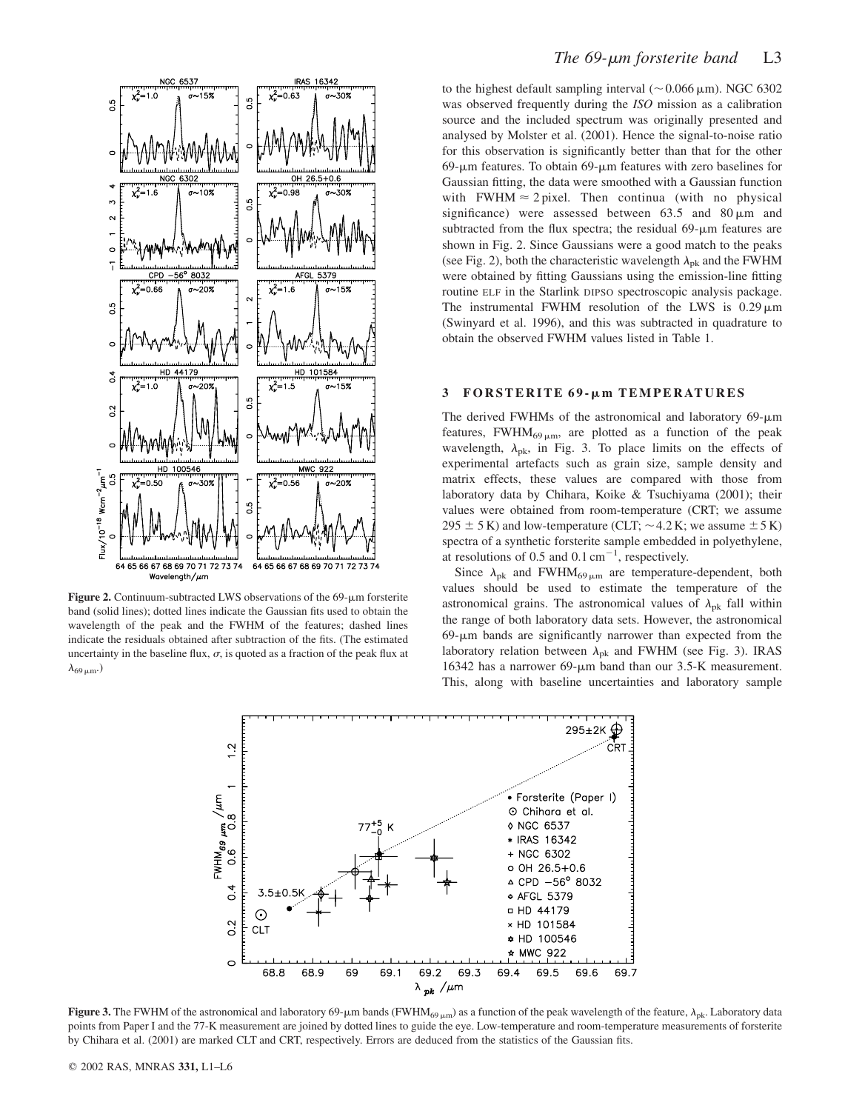

Figure 2. Continuum-subtracted LWS observations of the  $69$ - $\mu$ m forsterite band (solid lines); dotted lines indicate the Gaussian fits used to obtain the wavelength of the peak and the FWHM of the features; dashed lines indicate the residuals obtained after subtraction of the fits. (The estimated uncertainty in the baseline flux,  $\sigma$ , is quoted as a fraction of the peak flux at  $\lambda_{69 \mu m}$ .)

to the highest default sampling interval ( $\sim 0.066 \,\mu$ m). NGC 6302 was observed frequently during the *ISO* mission as a calibration source and the included spectrum was originally presented and analysed by Molster et al. (2001). Hence the signal-to-noise ratio for this observation is significantly better than that for the other  $69$ - $\mu$ m features. To obtain  $69$ - $\mu$ m features with zero baselines for Gaussian fitting, the data were smoothed with a Gaussian function with FWHM  $\approx$  2 pixel. Then continua (with no physical significance) were assessed between  $63.5$  and  $80 \,\mu m$  and subtracted from the flux spectra; the residual  $69-\mu m$  features are shown in Fig. 2. Since Gaussians were a good match to the peaks (see Fig. 2), both the characteristic wavelength  $\lambda_{\rm pk}$  and the FWHM were obtained by fitting Gaussians using the emission-line fitting routine ELF in the Starlink DIPSO spectroscopic analysis package. The instrumental FWHM resolution of the LWS is  $0.29 \,\mathrm{\upmu m}$ (Swinyard et al. 1996), and this was subtracted in quadrature to obtain the observed FWHM values listed in Table 1.

## 3 FORSTERITE 69-µm TEMPERATURES

The derived FWHMs of the astronomical and laboratory  $69-\mu m$ features, FWHM $_{69 \mu m}$ , are plotted as a function of the peak wavelength,  $\lambda_{\rm pk}$ , in Fig. 3. To place limits on the effects of experimental artefacts such as grain size, sample density and matrix effects, these values are compared with those from laboratory data by Chihara, Koike & Tsuchiyama (2001); their values were obtained from room-temperature (CRT; we assume  $295 \pm 5$  K) and low-temperature (CLT;  $\sim$  4.2 K; we assume  $\pm$  5 K) spectra of a synthetic forsterite sample embedded in polyethylene, at resolutions of 0.5 and 0.1  $cm^{-1}$ , respectively.

Since  $\lambda_{\rm pk}$  and FWHM<sub>69  $\mu$ m are temperature-dependent, both</sub> values should be used to estimate the temperature of the astronomical grains. The astronomical values of  $\lambda_{\rm pk}$  fall within the range of both laboratory data sets. However, the astronomical  $69-\mu m$  bands are significantly narrower than expected from the laboratory relation between  $\lambda_{\rm pk}$  and FWHM (see Fig. 3). IRAS 16342 has a narrower 69-µm band than our 3.5-K measurement. This, along with baseline uncertainties and laboratory sample



Figure 3. The FWHM of the astronomical and laboratory 69-µm bands (FWHM<sub>69 µm</sub>) as a function of the peak wavelength of the feature,  $\lambda_{pk}$ . Laboratory data points from Paper I and the 77-K measurement are joined by dotted lines to guide the eye. Low-temperature and room-temperature measurements of forsterite by Chihara et al. (2001) are marked CLT and CRT, respectively. Errors are deduced from the statistics of the Gaussian fits.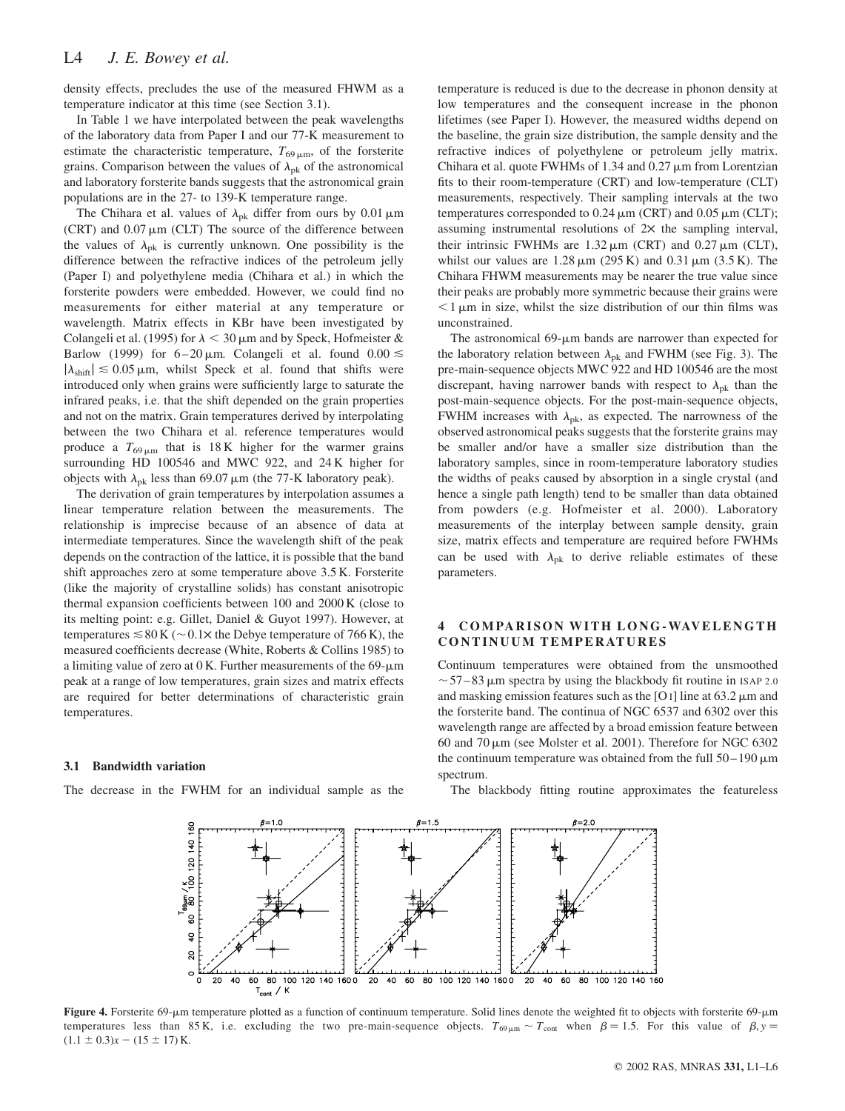density effects, precludes the use of the measured FHWM as a temperature indicator at this time (see Section 3.1).

In Table 1 we have interpolated between the peak wavelengths of the laboratory data from Paper I and our 77-K measurement to estimate the characteristic temperature,  $T_{69\,\mu\text{m}}$ , of the forsterite grains. Comparison between the values of  $\lambda_{pk}$  of the astronomical and laboratory forsterite bands suggests that the astronomical grain populations are in the 27- to 139-K temperature range.

The Chihara et al. values of  $\lambda_{pk}$  differ from ours by 0.01  $\mu$ m (CRT) and  $0.07 \mu m$  (CLT) The source of the difference between the values of  $\lambda_{\rm pk}$  is currently unknown. One possibility is the difference between the refractive indices of the petroleum jelly (Paper I) and polyethylene media (Chihara et al.) in which the forsterite powders were embedded. However, we could find no measurements for either material at any temperature or wavelength. Matrix effects in KBr have been investigated by Colangeli et al. (1995) for  $\lambda$  < 30  $\mu$ m and by Speck, Hofmeister & Barlow (1999) for  $6-20 \mu m$ . Colangeli et al. found  $0.00 \le$  $|\lambda_{\text{shift}}| \leq 0.05 \,\mu\text{m}$ , whilst Speck et al. found that shifts were introduced only when grains were sufficiently large to saturate the infrared peaks, i.e. that the shift depended on the grain properties and not on the matrix. Grain temperatures derived by interpolating between the two Chihara et al. reference temperatures would produce a  $T_{69 \mu m}$  that is 18 K higher for the warmer grains surrounding HD 100546 and MWC 922, and 24 K higher for objects with  $\lambda_{\rm pk}$  less than 69.07  $\mu$ m (the 77-K laboratory peak).

The derivation of grain temperatures by interpolation assumes a linear temperature relation between the measurements. The relationship is imprecise because of an absence of data at intermediate temperatures. Since the wavelength shift of the peak depends on the contraction of the lattice, it is possible that the band shift approaches zero at some temperature above 3.5 K. Forsterite (like the majority of crystalline solids) has constant anisotropic thermal expansion coefficients between 100 and 2000 K (close to its melting point: e.g. Gillet, Daniel & Guyot 1997). However, at temperatures  $\leq 80$  K ( $\sim 0.1$  $\times$  the Debye temperature of 766 K), the measured coefficients decrease (White, Roberts & Collins 1985) to a limiting value of zero at  $0$  K. Further measurements of the 69- $\mu$ m peak at a range of low temperatures, grain sizes and matrix effects are required for better determinations of characteristic grain temperatures.

#### 3.1 Bandwidth variation

The decrease in the FWHM for an individual sample as the

temperature is reduced is due to the decrease in phonon density at low temperatures and the consequent increase in the phonon lifetimes (see Paper I). However, the measured widths depend on the baseline, the grain size distribution, the sample density and the refractive indices of polyethylene or petroleum jelly matrix. Chihara et al. quote FWHMs of 1.34 and  $0.27 \,\mu m$  from Lorentzian fits to their room-temperature (CRT) and low-temperature (CLT) measurements, respectively. Their sampling intervals at the two temperatures corresponded to  $0.24 \mu m$  (CRT) and  $0.05 \mu m$  (CLT); assuming instrumental resolutions of  $2\times$  the sampling interval, their intrinsic FWHMs are  $1.32 \,\mu\text{m}$  (CRT) and  $0.27 \,\mu\text{m}$  (CLT), whilst our values are  $1.28 \mu m$  (295 K) and 0.31  $\mu m$  (3.5 K). The Chihara FHWM measurements may be nearer the true value since their peaks are probably more symmetric because their grains were  $\leq$ 1  $\mu$ m in size, whilst the size distribution of our thin films was unconstrained.

The astronomical  $69$ - $\mu$ m bands are narrower than expected for the laboratory relation between  $\lambda_{\rm pk}$  and FWHM (see Fig. 3). The pre-main-sequence objects MWC 922 and HD 100546 are the most discrepant, having narrower bands with respect to  $\lambda_{\rm pk}$  than the post-main-sequence objects. For the post-main-sequence objects, FWHM increases with  $\lambda_{\rm pk}$ , as expected. The narrowness of the observed astronomical peaks suggests that the forsterite grains may be smaller and/or have a smaller size distribution than the laboratory samples, since in room-temperature laboratory studies the widths of peaks caused by absorption in a single crystal (and hence a single path length) tend to be smaller than data obtained from powders (e.g. Hofmeister et al. 2000). Laboratory measurements of the interplay between sample density, grain size, matrix effects and temperature are required before FWHMs can be used with  $\lambda_{\rm pk}$  to derive reliable estimates of these parameters.

## 4 COMPARISON WITH LONG-WAVELENGTH CONTINUUM TEMPERATURES

Continuum temperatures were obtained from the unsmoothed  $\sim$  57–83 µm spectra by using the blackbody fit routine in ISAP 2.0 and masking emission features such as the [O I] line at  $63.2 \mu m$  and the forsterite band. The continua of NGC 6537 and 6302 over this wavelength range are affected by a broad emission feature between 60 and  $70 \,\mu m$  (see Molster et al. 2001). Therefore for NGC 6302 the continuum temperature was obtained from the full  $50-190 \mu m$ spectrum.





Figure 4. Forsterite 69-um temperature plotted as a function of continuum temperature. Solid lines denote the weighted fit to objects with forsterite 69-um temperatures less than 85 K, i.e. excluding the two pre-main-sequence objects.  $T_{69\mu m} \sim T_{\text{cont}}$  when  $\beta = 1.5$ . For this value of  $\beta$ ,  $y =$  $(1.1 \pm 0.3)x - (15 \pm 17)$  K.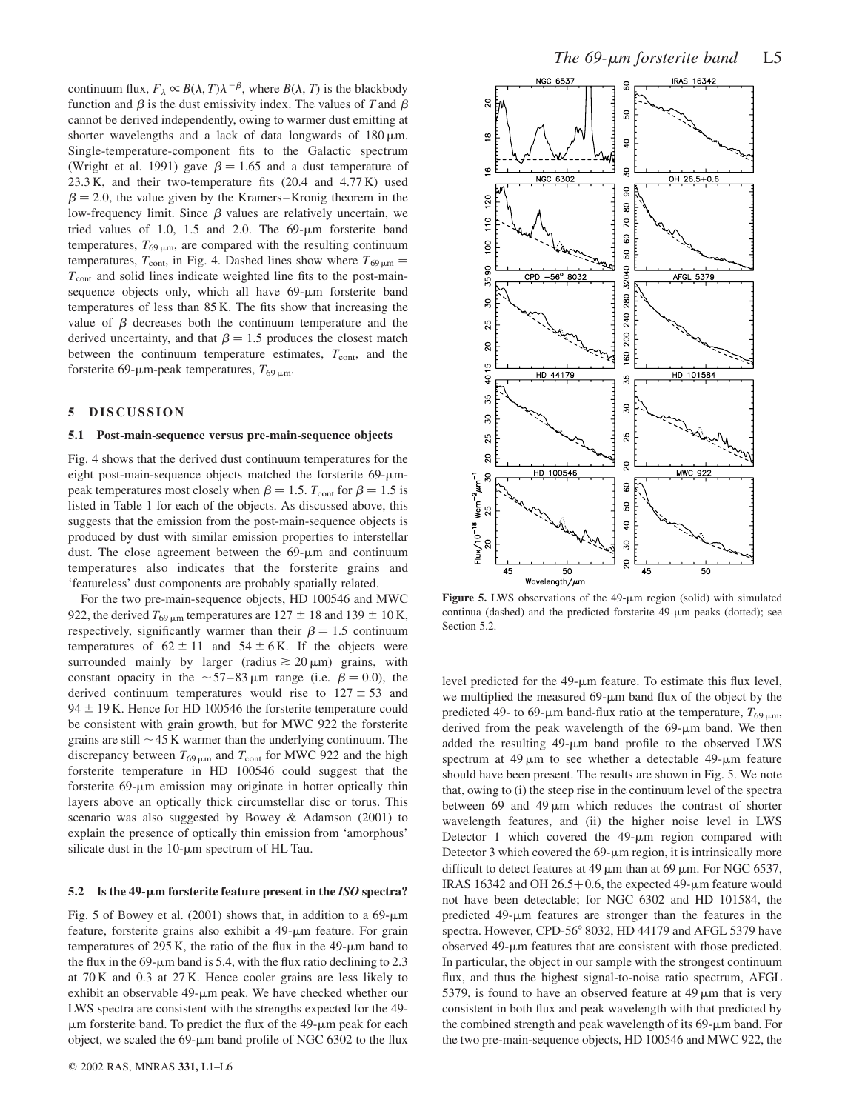continuum flux,  $F_{\lambda} \propto B(\lambda, T) \lambda^{-\beta}$ , where  $B(\lambda, T)$  is the blackbody function and  $\beta$  is the dust emissivity index. The values of T and  $\beta$ cannot be derived independently, owing to warmer dust emitting at shorter wavelengths and a lack of data longwards of  $180 \mu m$ . Single-temperature-component fits to the Galactic spectrum (Wright et al. 1991) gave  $\beta = 1.65$  and a dust temperature of 23.3 K, and their two-temperature fits (20.4 and 4.77 K) used  $\beta$  = 2.0, the value given by the Kramers–Kronig theorem in the low-frequency limit. Since  $\beta$  values are relatively uncertain, we tried values of 1.0, 1.5 and 2.0. The  $69-\mu m$  forsterite band temperatures,  $T_{69 \mu m}$ , are compared with the resulting continuum temperatures,  $T_{\text{cont}}$ , in Fig. 4. Dashed lines show where  $T_{69 \mu m} =$  $T_{\text{cont}}$  and solid lines indicate weighted line fits to the post-mainsequence objects only, which all have  $69-\mu m$  for sterite band temperatures of less than 85 K. The fits show that increasing the value of  $\beta$  decreases both the continuum temperature and the derived uncertainty, and that  $\beta = 1.5$  produces the closest match between the continuum temperature estimates,  $T_{\text{cont}}$ , and the forsterite 69- $\mu$ m-peak temperatures,  $T_{69\,\mu m}$ .

#### 5 DISCUSSION

#### 5.1 Post-main-sequence versus pre-main-sequence objects

Fig. 4 shows that the derived dust continuum temperatures for the eight post-main-sequence objects matched the forsterite  $69-\mu m$ peak temperatures most closely when  $\beta = 1.5$ . T<sub>cont</sub> for  $\beta = 1.5$  is listed in Table 1 for each of the objects. As discussed above, this suggests that the emission from the post-main-sequence objects is produced by dust with similar emission properties to interstellar dust. The close agreement between the  $69-\mu m$  and continuum temperatures also indicates that the forsterite grains and 'featureless' dust components are probably spatially related.

For the two pre-main-sequence objects, HD 100546 and MWC 922, the derived  $T_{69 \mu m}$  temperatures are 127  $\pm$  18 and 139  $\pm$  10 K, respectively, significantly warmer than their  $\beta = 1.5$  continuum temperatures of  $62 \pm 11$  and  $54 \pm 6$  K. If the objects were surrounded mainly by larger (radius  $\geq 20 \,\mu\text{m}$ ) grains, with constant opacity in the  $\sim$  57–83 µm range (i.e.  $\beta$  = 0.0), the derived continuum temperatures would rise to  $127 \pm 53$  and 94  $\pm$  19 K. Hence for HD 100546 the forsterite temperature could be consistent with grain growth, but for MWC 922 the forsterite grains are still  $\sim$  45 K warmer than the underlying continuum. The discrepancy between  $T_{69 \mu m}$  and  $T_{\text{cont}}$  for MWC 922 and the high forsterite temperature in HD 100546 could suggest that the forsterite  $69$ - $\mu$ m emission may originate in hotter optically thin layers above an optically thick circumstellar disc or torus. This scenario was also suggested by Bowey & Adamson (2001) to explain the presence of optically thin emission from 'amorphous' silicate dust in the  $10$ - $\mu$ m spectrum of HL Tau.

#### 5.2 Is the 49- $\mu$ m forsterite feature present in the ISO spectra?

Fig. 5 of Bowey et al. (2001) shows that, in addition to a  $69\text{-}\mu\text{m}$ feature, forsterite grains also exhibit a  $49$ - $\mu$ m feature. For grain temperatures of 295 K, the ratio of the flux in the  $49-\mu m$  band to the flux in the 69- $\mu$ m band is 5.4, with the flux ratio declining to 2.3 at 70 K and 0.3 at 27 K. Hence cooler grains are less likely to exhibit an observable  $49$ - $\mu$ m peak. We have checked whether our LWS spectra are consistent with the strengths expected for the 49-  $\mu$ m forsterite band. To predict the flux of the 49- $\mu$ m peak for each object, we scaled the  $69$ - $\mu$ m band profile of NGC 6302 to the flux



Figure 5. LWS observations of the  $49-\mu m$  region (solid) with simulated continua (dashed) and the predicted forsterite  $49-\mu m$  peaks (dotted); see Section 5.2.

level predicted for the  $49-\mu m$  feature. To estimate this flux level, we multiplied the measured  $69-\mu m$  band flux of the object by the predicted 49- to 69- $\mu$ m band-flux ratio at the temperature,  $T_{69 \mu m}$ , derived from the peak wavelength of the  $69-\mu m$  band. We then added the resulting  $49-\mu m$  band profile to the observed LWS spectrum at  $49 \mu m$  to see whether a detectable  $49-\mu m$  feature should have been present. The results are shown in Fig. 5. We note that, owing to (i) the steep rise in the continuum level of the spectra between  $69$  and  $49 \mu m$  which reduces the contrast of shorter wavelength features, and (ii) the higher noise level in LWS Detector 1 which covered the  $49-\mu m$  region compared with Detector 3 which covered the  $69$ - $\mu$ m region, it is intrinsically more difficult to detect features at 49  $\mu$ m than at 69  $\mu$ m. For NGC 6537, IRAS 16342 and OH 26.5+0.6, the expected 49- $\mu$ m feature would not have been detectable; for NGC 6302 and HD 101584, the predicted  $49-\mu m$  features are stronger than the features in the spectra. However, CPD-56° 8032, HD 44179 and AFGL 5379 have observed  $49$ - $\mu$ m features that are consistent with those predicted. In particular, the object in our sample with the strongest continuum flux, and thus the highest signal-to-noise ratio spectrum, AFGL 5379, is found to have an observed feature at  $49 \mu m$  that is very consistent in both flux and peak wavelength with that predicted by the combined strength and peak wavelength of its  $69-\mu m$  band. For the two pre-main-sequence objects, HD 100546 and MWC 922, the